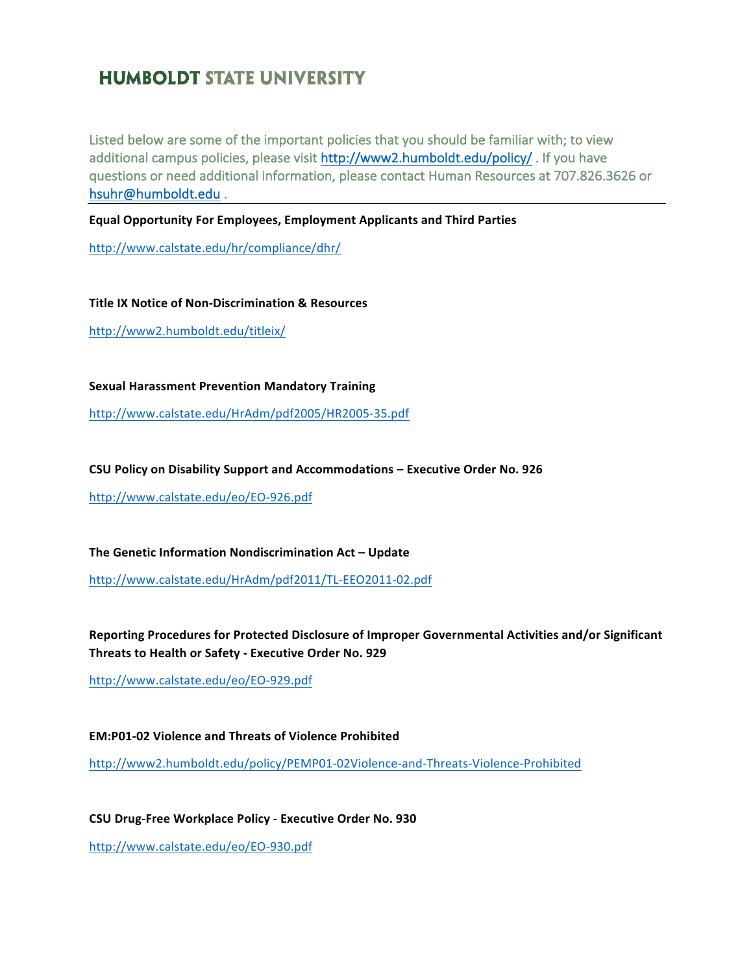## **HUMBOLDT STATE UNIVERSITY**

Listed below are some of the important policies that you should be familiar with; to view additional campus policies, please visit http://www2.humboldt.edu/policy/. If you have questions or need additional information, please contact Human Resources at 707.826.3626 or hsuhr@humboldt.edu.

**Equal Opportunity For Employees, Employment Applicants and Third Parties** 

http://www.calstate.edu/hr/compliance/dhr/

**Title IX Notice of Non-Discrimination & Resources** http://www2.humboldt.edu/titleix/

**Sexual Harassment Prevention Mandatory Training**

http://www.calstate.edu/HrAdm/pdf2005/HR2005-35.pdf

**CSU Policy on Disability Support and Accommodations – Executive Order No. 926** 

http://www.calstate.edu/eo/EO-926.pdf

**The Genetic Information Nondiscrimination Act – Update** 

http://www.calstate.edu/HrAdm/pdf2011/TL-EEO2011-02.pdf

Reporting Procedures for Protected Disclosure of Improper Governmental Activities and/or Significant **Threats to Health or Safety - Executive Order No. 929** 

http://www.calstate.edu/eo/EO-929.pdf

**EM:P01-02 Violence and Threats of Violence Prohibited** http://www2.humboldt.edu/policy/PEMP01-02Violence-and-Threats-Violence-Prohibited

**CSU Drug-Free Workplace Policy - Executive Order No. 930** http://www.calstate.edu/eo/EO-930.pdf